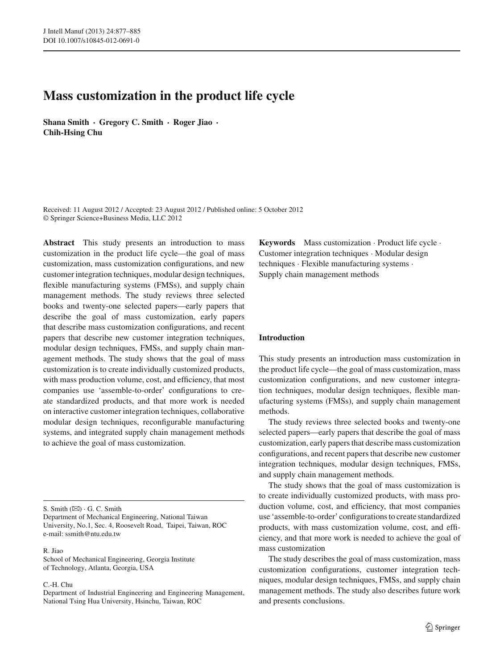# **Mass customization in the product life cycle**

**Shana Smith · Gregory C. Smith · Roger Jiao · Chih-Hsing Chu**

Received: 11 August 2012 / Accepted: 23 August 2012 / Published online: 5 October 2012 © Springer Science+Business Media, LLC 2012

**Abstract** This study presents an introduction to mass customization in the product life cycle—the goal of mass customization, mass customization configurations, and new customer integration techniques, modular design techniques, flexible manufacturing systems (FMSs), and supply chain management methods. The study reviews three selected books and twenty-one selected papers—early papers that describe the goal of mass customization, early papers that describe mass customization configurations, and recent papers that describe new customer integration techniques, modular design techniques, FMSs, and supply chain management methods. The study shows that the goal of mass customization is to create individually customized products, with mass production volume, cost, and efficiency, that most companies use 'assemble-to-order' configurations to create standardized products, and that more work is needed on interactive customer integration techniques, collaborative modular design techniques, reconfigurable manufacturing systems, and integrated supply chain management methods to achieve the goal of mass customization.

S. Smith  $(\boxtimes) \cdot G$ . C. Smith

Department of Mechanical Engineering, National Taiwan University, No.1, Sec. 4, Roosevelt Road, Taipei, Taiwan, ROC e-mail: ssmith@ntu.edu.tw

#### R. Jiao

School of Mechanical Engineering, Georgia Institute of Technology, Atlanta, Georgia, USA

#### C.-H. Chu

Department of Industrial Engineering and Engineering Management, National Tsing Hua University, Hsinchu, Taiwan, ROC

**Keywords** Mass customization · Product life cycle · Customer integration techniques · Modular design techniques · Flexible manufacturing systems · Supply chain management methods

# **Introduction**

This study presents an introduction mass customization in the product life cycle—the goal of mass customization, mass customization configurations, and new customer integration techniques, modular design techniques, flexible manufacturing systems (FMSs), and supply chain management methods.

The study reviews three selected books and twenty-one selected papers—early papers that describe the goal of mass customization, early papers that describe mass customization configurations, and recent papers that describe new customer integration techniques, modular design techniques, FMSs, and supply chain management methods.

The study shows that the goal of mass customization is to create individually customized products, with mass production volume, cost, and efficiency, that most companies use 'assemble-to-order' configurations to create standardized products, with mass customization volume, cost, and efficiency, and that more work is needed to achieve the goal of mass customization

The study describes the goal of mass customization, mass customization configurations, customer integration techniques, modular design techniques, FMSs, and supply chain management methods. The study also describes future work and presents conclusions.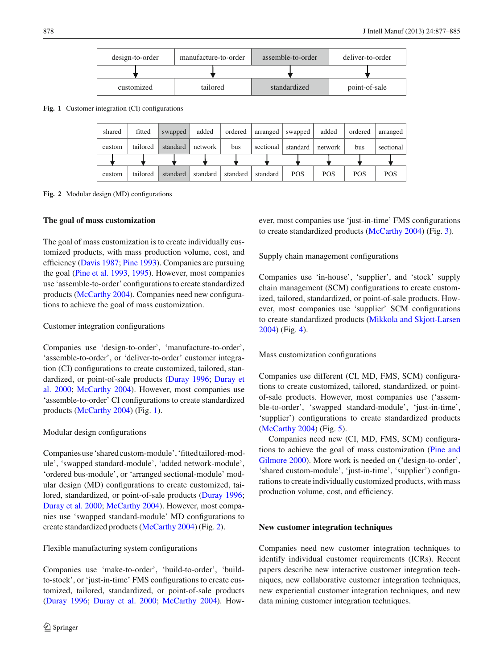

<span id="page-1-0"></span>**Fig. 1** Customer integration (CI) configurations



<span id="page-1-1"></span>**Fig. 2** Modular design (MD) configurations

### **The goal of mass customization**

The goal of mass customization is to create individually customized products, with mass production volume, cost, and efficiency [\(Davis 1987](#page-7-0); [Pine 1993](#page-8-0)). Companies are pursuing the goal [\(Pine et al. 1993,](#page-8-1) [1995\)](#page-8-2). However, most companies use 'assemble-to-order' configurations to create standardized products [\(McCarthy 2004](#page-8-3)). Companies need new configurations to achieve the goal of mass customization.

# Customer integration configurations

Companies use 'design-to-order', 'manufacture-to-order', 'assemble-to-order', or 'deliver-to-order' customer integration (CI) configurations to create customized, tailored, standa[rdized, or point-of-sale products](#page-7-2) [\(Duray 1996](#page-7-1)[;](#page-7-2) Duray et al. [2000](#page-7-2); [McCarthy 2004\)](#page-8-3). However, most companies use 'assemble-to-order' CI configurations to create standardized products [\(McCarthy 2004\)](#page-8-3) (Fig. [1\)](#page-1-0).

# Modular design configurations

Companiesuse'sharedcustom-module','fittedtailored-module', 'swapped standard-module', 'added network-module', 'ordered bus-module', or 'arranged sectional-module' modular design (MD) configurations to create customized, tailored, standardized, or point-of-sale products [\(Duray 1996](#page-7-1); [Duray et al. 2000](#page-7-2); [McCarthy 2004](#page-8-3)). However, most companies use 'swapped standard-module' MD configurations to create standardized products [\(McCarthy 2004\)](#page-8-3) (Fig. [2\)](#page-1-1).

# Flexible manufacturing system configurations

Companies use 'make-to-order', 'build-to-order', 'buildto-stock', or 'just-in-time' FMS configurations to create customized, tailored, standardized, or point-of-sale products [\(Duray 1996](#page-7-1); [Duray et al. 2000](#page-7-2); [McCarthy 2004\)](#page-8-3). However, most companies use 'just-in-time' FMS configurations to create standardized products [\(McCarthy 2004](#page-8-3)) (Fig. [3\)](#page-2-0).

Supply chain management configurations

Companies use 'in-house', 'supplier', and 'stock' supply chain management (SCM) configurations to create customized, tailored, standardized, or point-of-sale products. However, most companies use 'supplier' SCM configurations to create standardized products [\(Mikkola and Skjott-Larsen](#page-8-4) [2004](#page-8-4)) (Fig. [4\)](#page-2-1).

# Mass customization configurations

Companies use different (CI, MD, FMS, SCM) configurations to create customized, tailored, standardized, or pointof-sale products. However, most companies use ('assemble-to-order', 'swapped standard-module', 'just-in-time', 'supplier') configurations to create standardized products [\(McCarthy 2004](#page-8-3)) (Fig. [5\)](#page-2-2).

Companies need new (CI, MD, FMS, SCM) configurations to [achieve the goal of mass customization \(](#page-8-5)Pine and Gilmore [2000\)](#page-8-5). More work is needed on ('design-to-order', 'shared custom-module', 'just-in-time', 'supplier') configurations to create individually customized products, with mass production volume, cost, and efficiency.

#### **New customer integration techniques**

Companies need new customer integration techniques to identify individual customer requirements (ICRs). Recent papers describe new interactive customer integration techniques, new collaborative customer integration techniques, new experiential customer integration techniques, and new data mining customer integration techniques.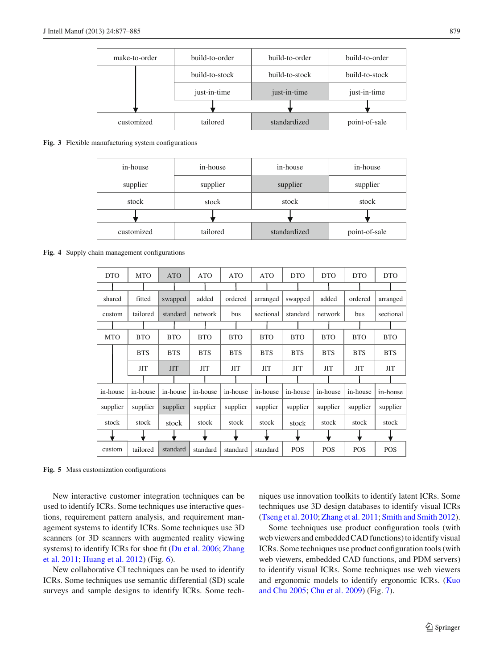

#### <span id="page-2-0"></span>**Fig. 3** Flexible manufacturing system configurations

| in-house   | in-house | in-house | in-house      |  |  |
|------------|----------|----------|---------------|--|--|
| supplier   | supplier | supplier | supplier      |  |  |
| stock      | stock    | stock    | stock         |  |  |
|            |          |          |               |  |  |
| customized | tailored |          | point-of-sale |  |  |

<span id="page-2-1"></span>**Fig. 4** Supply chain management configurations

| <b>DTO</b> | <b>MTO</b> | <b>ATO</b> | <b>ATO</b> | <b>ATO</b> | <b>ATO</b> | <b>DTO</b> | <b>DTO</b> | <b>DTO</b> | <b>DTO</b> |
|------------|------------|------------|------------|------------|------------|------------|------------|------------|------------|
|            |            |            |            |            |            |            |            |            |            |
| shared     | fitted     | swapped    | added      | ordered    | arranged   | swapped    | added      | ordered    | arranged   |
| custom     | tailored   | standard   | network    | bus        | sectional  | standard   | network    | bus        | sectional  |
|            |            |            |            |            |            |            |            |            |            |
| <b>MTO</b> | <b>BTO</b> | <b>BTO</b> | <b>BTO</b> | <b>BTO</b> | <b>BTO</b> | <b>BTO</b> | <b>BTO</b> | <b>BTO</b> | <b>BTO</b> |
|            | <b>BTS</b> | <b>BTS</b> | <b>BTS</b> | <b>BTS</b> | <b>BTS</b> | <b>BTS</b> | <b>BTS</b> | <b>BTS</b> | <b>BTS</b> |
|            | <b>JIT</b> | <b>JIT</b> | <b>JIT</b> | <b>JIT</b> | ЛT         | <b>JIT</b> | <b>JIT</b> | <b>JIT</b> | <b>JIT</b> |
|            |            |            |            |            |            |            |            |            |            |
| in-house   | in-house   | in-house   | in-house   | in-house   | in-house   | in-house   | in-house   | in-house   | in-house   |
| supplier   | supplier   | supplier   | supplier   | supplier   | supplier   | supplier   | supplier   | supplier   | supplier   |
| stock      | stock      | stock      | stock      | stock      | stock      | stock      | stock      | stock      | stock      |
|            |            |            |            |            |            |            |            |            |            |
| custom     | tailored   | standard   | standard   | standard   | standard   | <b>POS</b> | <b>POS</b> | <b>POS</b> | <b>POS</b> |

<span id="page-2-2"></span>**Fig. 5** Mass customization configurations

New interactive customer integration techniques can be used to identify ICRs. Some techniques use interactive questions, requirement pattern analysis, and requirement management systems to identify ICRs. Some techniques use 3D scanners (or 3D scanners with augmented reality viewing syst[ems\) to identify ICRs for shoe fit](#page-8-6) [\(Du et al. 2006;](#page-7-3) Zhang et al. [2011;](#page-8-6) [Huang et al. 2012\)](#page-7-4) (Fig. [6\)](#page-3-0).

New collaborative CI techniques can be used to identify ICRs. Some techniques use semantic differential (SD) scale surveys and sample designs to identify ICRs. Some techniques use innovation toolkits to identify latent ICRs. Some techniques use 3D design databases to identify visual ICRs [\(Tseng et al. 2010;](#page-8-7) [Zhang et al. 2011](#page-8-6); [Smith and Smith 2012](#page-8-8)).

Some techniques use product configuration tools (with web viewers and embedded CAD functions) to identify visual ICRs. Some techniques use product configuration tools (with web viewers, embedded CAD functions, and PDM servers) to identify visual ICRs. Some techniques use web viewers and erg[onomic models to identify ergonomic ICRs. \(](#page-8-9)Kuo and Chu [2005](#page-8-9); [Chu et al. 2009](#page-7-5)) (Fig. [7\)](#page-3-1).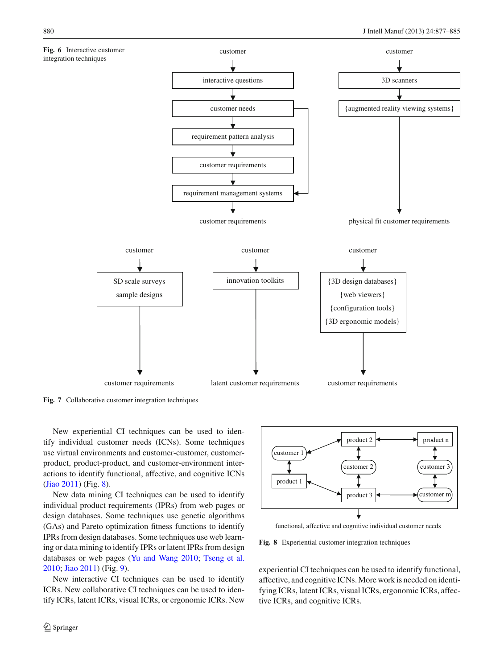<span id="page-3-0"></span>

<span id="page-3-1"></span>**Fig. 7** Collaborative customer integration techniques

New experiential CI techniques can be used to identify individual customer needs (ICNs). Some techniques use virtual environments and customer-customer, customerproduct, product-product, and customer-environment interactions to identify functional, affective, and cognitive ICNs [\(Jiao 2011\)](#page-7-6) (Fig. [8\)](#page-3-2).

New data mining CI techniques can be used to identify individual product requirements (IPRs) from web pages or design databases. Some techniques use genetic algorithms (GAs) and Pareto optimization fitness functions to identify IPRs from design databases. Some techniques use web learning or data mining to identify IPRs or latent IPRs from design databases or web pages [\(Yu and Wang 2010](#page-8-10); [Tseng et al.](#page-8-7) [2010;](#page-8-7) [Jiao 2011\)](#page-7-6) (Fig. [9\)](#page-4-0).

New interactive CI techniques can be used to identify ICRs. New collaborative CI techniques can be used to identify ICRs, latent ICRs, visual ICRs, or ergonomic ICRs. New



functional, affective and cognitive individual customer needs

<span id="page-3-2"></span>**Fig. 8** Experiential customer integration techniques

experiential CI techniques can be used to identify functional, affective, and cognitive ICNs. More work is needed on identifying ICRs, latent ICRs, visual ICRs, ergonomic ICRs, affective ICRs, and cognitive ICRs.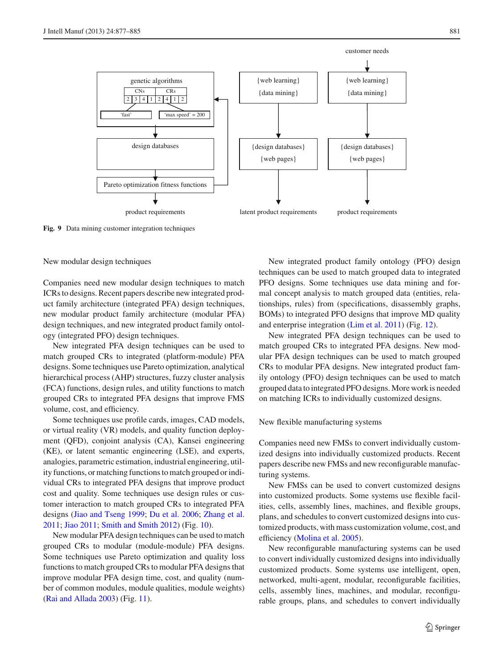

<span id="page-4-0"></span>**Fig. 9** Data mining customer integration techniques

New modular design techniques

Companies need new modular design techniques to match ICRs to designs. Recent papers describe new integrated product family architecture (integrated PFA) design techniques, new modular product family architecture (modular PFA) design techniques, and new integrated product family ontology (integrated PFO) design techniques.

New integrated PFA design techniques can be used to match grouped CRs to integrated (platform-module) PFA designs. Some techniques use Pareto optimization, analytical hierarchical process (AHP) structures, fuzzy cluster analysis (FCA) functions, design rules, and utility functions to match grouped CRs to integrated PFA designs that improve FMS volume, cost, and efficiency.

Some techniques use profile cards, images, CAD models, or virtual reality (VR) models, and quality function deployment (QFD), conjoint analysis (CA), Kansei engineering (KE), or latent semantic engineering (LSE), and experts, analogies, parametric estimation, industrial engineering, utility functions, or matching functions to match grouped or individual CRs to integrated PFA designs that improve product cost and quality. Some techniques use design rules or customer interaction to match grouped CRs to integrated PFA designs [\(Jiao and Tseng 1999](#page-7-7); [Du et al. 2006;](#page-7-3) [Zhang et al.](#page-8-6) [2011;](#page-8-6) [Jiao 2011;](#page-7-6) [Smith and Smith 2012](#page-8-8)) (Fig. [10\)](#page-5-0).

New modular PFA design techniques can be used to match grouped CRs to modular (module-module) PFA designs. Some techniques use Pareto optimization and quality loss functions to match grouped CRs to modular PFA designs that improve modular PFA design time, cost, and quality (number of common modules, module qualities, module weights) [\(Rai and Allada 2003\)](#page-8-11) (Fig. [11\)](#page-5-1).

New integrated product family ontology (PFO) design techniques can be used to match grouped data to integrated PFO designs. Some techniques use data mining and formal concept analysis to match grouped data (entities, relationships, rules) from (specifications, disassembly graphs, BOMs) to integrated PFO designs that improve MD quality and enterprise integration [\(Lim et al. 2011\)](#page-8-12) (Fig. [12\)](#page-5-2).

New integrated PFA design techniques can be used to match grouped CRs to integrated PFA designs. New modular PFA design techniques can be used to match grouped CRs to modular PFA designs. New integrated product family ontology (PFO) design techniques can be used to match grouped data to integrated PFO designs. More work is needed on matching ICRs to individually customized designs.

New flexible manufacturing systems

Companies need new FMSs to convert individually customized designs into individually customized products. Recent papers describe new FMSs and new reconfigurable manufacturing systems.

New FMSs can be used to convert customized designs into customized products. Some systems use flexible facilities, cells, assembly lines, machines, and flexible groups, plans, and schedules to convert customized designs into customized products, with mass customization volume, cost, and efficiency [\(Molina et al. 2005\)](#page-8-13).

New reconfigurable manufacturing systems can be used to convert individually customized designs into individually customized products. Some systems use intelligent, open, networked, multi-agent, modular, reconfigurable facilities, cells, assembly lines, machines, and modular, reconfigurable groups, plans, and schedules to convert individually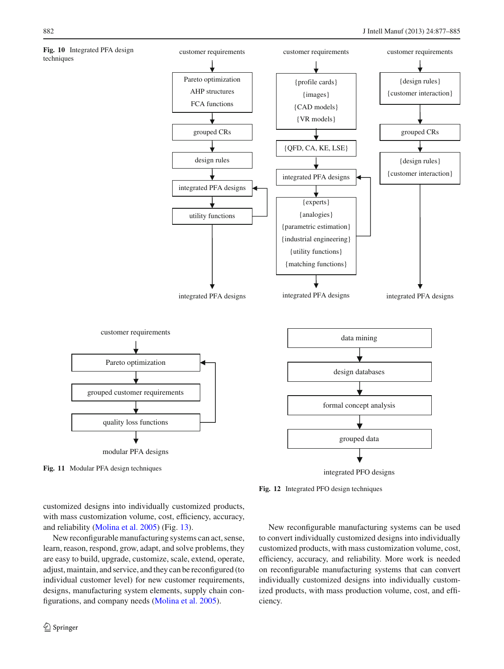<span id="page-5-0"></span>



<span id="page-5-2"></span>**Fig. 12** Integrated PFO design techniques

<span id="page-5-1"></span>customized designs into individually customized products, with mass customization volume, cost, efficiency, accuracy, and reliability [\(Molina et al. 2005\)](#page-8-13) (Fig. [13\)](#page-6-0).

New reconfigurable manufacturing systems can act, sense, learn, reason, respond, grow, adapt, and solve problems, they are easy to build, upgrade, customize, scale, extend, operate, adjust, maintain, and service, and they can be reconfigured (to individual customer level) for new customer requirements, designs, manufacturing system elements, supply chain configurations, and company needs [\(Molina et al. 2005\)](#page-8-13).

New reconfigurable manufacturing systems can be used to convert individually customized designs into individually customized products, with mass customization volume, cost, efficiency, accuracy, and reliability. More work is needed on reconfigurable manufacturing systems that can convert individually customized designs into individually customized products, with mass production volume, cost, and efficiency.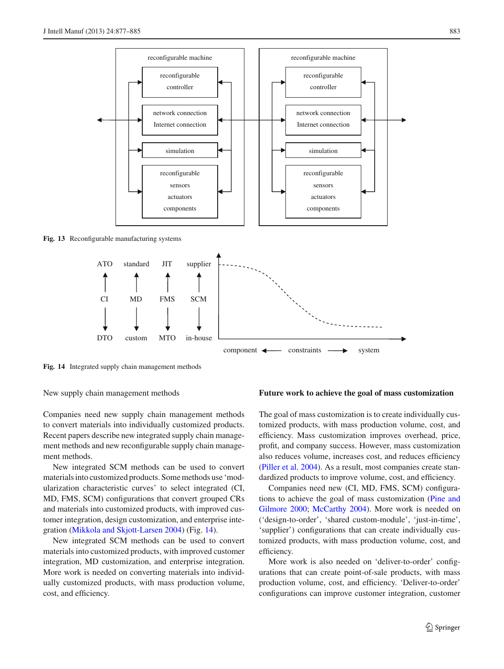

<span id="page-6-1"></span><span id="page-6-0"></span>**Fig. 14** Integrated supply chain management methods

New supply chain management methods

Companies need new supply chain management methods to convert materials into individually customized products. Recent papers describe new integrated supply chain management methods and new reconfigurable supply chain management methods.

New integrated SCM methods can be used to convert materials into customized products. Some methods use 'modularization characteristic curves' to select integrated (CI, MD, FMS, SCM) configurations that convert grouped CRs and materials into customized products, with improved customer integration, design customization, and enterprise integration [\(Mikkola and Skjott-Larsen 2004\)](#page-8-4) (Fig. [14\)](#page-6-1).

New integrated SCM methods can be used to convert materials into customized products, with improved customer integration, MD customization, and enterprise integration. More work is needed on converting materials into individually customized products, with mass production volume, cost, and efficiency.

#### **Future work to achieve the goal of mass customization**

The goal of mass customization is to create individually customized products, with mass production volume, cost, and efficiency. Mass customization improves overhead, price, profit, and company success. However, mass customization also reduces volume, increases cost, and reduces efficiency [\(Piller et al. 2004](#page-8-14)). As a result, most companies create standardized products to improve volume, cost, and efficiency.

Companies need new (CI, MD, FMS, SCM) configurations to [achieve the goal of mass customization \(](#page-8-5)Pine and Gilmore [2000;](#page-8-5) [McCarthy 2004](#page-8-3)). More work is needed on ('design-to-order', 'shared custom-module', 'just-in-time', 'supplier') configurations that can create individually customized products, with mass production volume, cost, and efficiency.

More work is also needed on 'deliver-to-order' configurations that can create point-of-sale products, with mass production volume, cost, and efficiency. 'Deliver-to-order' configurations can improve customer integration, customer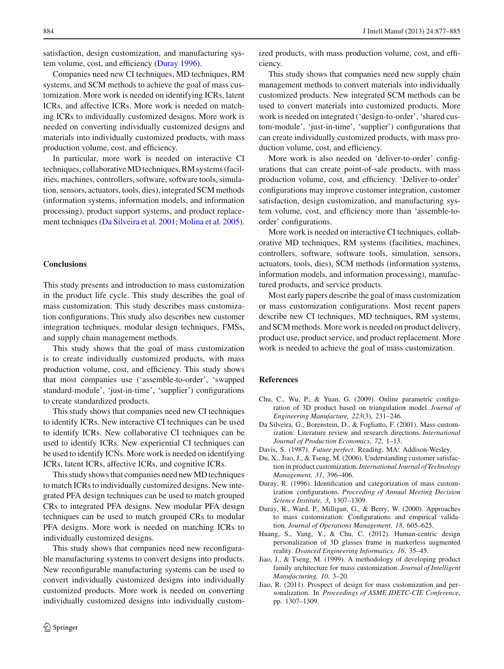satisfaction, design customization, and manufacturing system volume, cost, and efficiency [\(Duray 1996](#page-7-1)).

Companies need new CI techniques, MD techniques, RM systems, and SCM methods to achieve the goal of mass customization. More work is needed on identifying ICRs, latent ICRs, and affective ICRs. More work is needed on matching ICRs to individually customized designs. More work is needed on converting individually customized designs and materials into individually customized products, with mass production volume, cost, and efficiency.

In particular, more work is needed on interactive CI techniques, collaborative MD techniques, RM systems (facilities, machines, controllers, software, software tools, simulation, sensors, actuators, tools, dies), integrated SCM methods (information systems, information models, and information processing), product support systems, and product replacement techniques [\(Da Silveira et al. 2001](#page-7-8); [Molina et al. 2005](#page-8-13)).

### **Conclusions**

This study presents and introduction to mass customization in the product life cycle. This study describes the goal of mass customization. This study describes mass customization configurations. This study also describes new customer integration techniques, modular design techniques, FMSs, and supply chain management methods.

This study shows that the goal of mass customization is to create individually customized products, with mass production volume, cost, and efficiency. This study shows that most companies use ('assemble-to-order', 'swapped standard-module', 'just-in-time', 'supplier') configurations to create standardized products.

This study shows that companies need new CI techniques to identify ICRs. New interactive CI techniques can be used to identify ICRs. New collaborative CI techniques can be used to identify ICRs. New experiential CI techniques can be used to identify ICNs. More work is needed on identifying ICRs, latent ICRs, affective ICRs, and cognitive ICRs.

This study shows that companies need new MD techniques to match ICRs to individually customized designs. New integrated PFA design techniques can be used to match grouped CRs to integrated PFA designs. New modular PFA design techniques can be used to match grouped CRs to modular PFA designs. More work is needed on matching ICRs to individually customized designs.

This study shows that companies need new reconfigurable manufacturing systems to convert designs into products. New reconfigurable manufacturing systems can be used to convert individually customized designs into individually customized products. More work is needed on converting individually customized designs into individually customized products, with mass production volume, cost, and efficiency.

This study shows that companies need new supply chain management methods to convert materials into individually customized products. New integrated SCM methods can be used to convert materials into customized products. More work is needed on integrated ('design-to-order', 'shared custom-module', 'just-in-time', 'supplier') configurations that can create individually customized products, with mass production volume, cost, and efficiency.

More work is also needed on 'deliver-to-order' configurations that can create point-of-sale products, with mass production volume, cost, and efficiency. 'Deliver-to-order' configurations may improve customer integration, customer satisfaction, design customization, and manufacturing system volume, cost, and efficiency more than 'assemble-toorder' configurations.

More work is needed on interactive CI techniques, collaborative MD techniques, RM systems (facilities, machines, controllers, software, software tools, simulation, sensors, actuators, tools, dies), SCM methods (information systems, information models, and information processing), manufactured products, and service products.

Most early papers describe the goal of mass customization or mass customization configurations. Most recent papers describe new CI techniques, MD techniques, RM systems, and SCM methods. More work is needed on product delivery, product use, product service, and product replacement. More work is needed to achieve the goal of mass customization.

#### **References**

- <span id="page-7-5"></span>Chu, C., Wu, P., & Yuan, G. (2009). Online parametric configuration of 3D product based on triangulation model. *Journal of Engineering Manufacture, 223*(3), 231–246.
- <span id="page-7-8"></span>Da Silveira, G., Borenstein, D., & Fogliatto, F. (2001). Mass customization: Literature review and research directions. *International Journal of Production Economics, 72*, 1–13.
- <span id="page-7-0"></span>Davis, S. (1987). *Future perfect*. Reading, MA: Addison-Wesley.
- <span id="page-7-3"></span>Du, X., Jiao, J., & Tseng, M. (2006). Understanding customer satisfaction in product customization.*International Journal of Technology Management, 31*, 396–406.
- <span id="page-7-1"></span>Duray, R. (1996). Identification and categorization of mass customization configurations. *Proceeding of Annual Meeting Decision Science Institute, 3*, 1307–1309.
- <span id="page-7-2"></span>Duray, R., Ward, P., Milligan, G., & Berry, W. (2000). Approaches to mass customization: Configurations and empirical validation. *Journal of Operations Management, 18*, 605–625.
- <span id="page-7-4"></span>Huang, S., Yang, Y., & Chu, C. (2012). Human-centric design personalization of 3D glasses frame in markerless augmented reality. *Dvanced Engineering Informatics, 16*, 35–45.
- <span id="page-7-7"></span>Jiao, J., & Tseng, M. (1999). A methodology of developing product family architecture for mass customization. *Journal of Intelligent Manufacturing, 10*, 3–20.
- <span id="page-7-6"></span>Jiao, R. (2011). Prospect of design for mass customization and personalization. In *Proceedings of ASME IDETC-CIE Conference*, pp. 1307–1309.